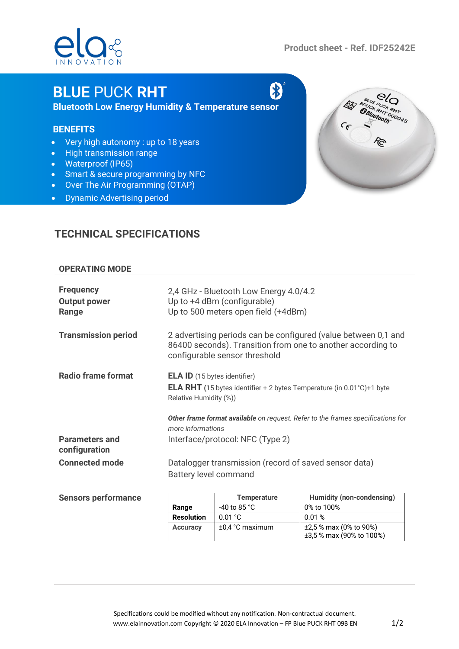# $O<sup>o</sup>$

**Product sheet - Ref. IDF25242E**

R

## **BLUE** PUCK **RHT**

**Bluetooth Low Energy Humidity & Temperature sensor**

#### **BENEFITS**

- Very high autonomy : up to 18 years
- High transmission range
- Waterproof (IP65)
- Smart & secure programming by NFC
- Over The Air Programming (OTAP)
- Dynamic Advertising period

### **TECHNICAL SPECIFICATIONS**

#### **OPERATING MODE**

| <b>Frequency</b><br><b>Output power</b><br>Range | 2,4 GHz - Bluetooth Low Energy 4.0/4.2<br>Up to +4 dBm (configurable)<br>Up to 500 meters open field (+4dBm)                                                   |                    |                                  |
|--------------------------------------------------|----------------------------------------------------------------------------------------------------------------------------------------------------------------|--------------------|----------------------------------|
| <b>Transmission period</b>                       | 2 advertising periods can be configured (value between 0,1 and<br>86400 seconds). Transition from one to another according to<br>configurable sensor threshold |                    |                                  |
| <b>Radio frame format</b>                        | <b>ELA ID</b> (15 bytes identifier)<br><b>ELA RHT</b> (15 bytes identifier + 2 bytes Temperature (in $0.01^{\circ}$ C)+1 byte<br>Relative Humidity (%))        |                    |                                  |
|                                                  | Other frame format available on request. Refer to the frames specifications for<br>more informations                                                           |                    |                                  |
| <b>Parameters and</b><br>configuration           | Interface/protocol: NFC (Type 2)                                                                                                                               |                    |                                  |
| <b>Connected mode</b>                            | Datalogger transmission (record of saved sensor data)<br><b>Battery level command</b>                                                                          |                    |                                  |
|                                                  |                                                                                                                                                                |                    |                                  |
| <b>Sensors performance</b>                       |                                                                                                                                                                | <b>Temperature</b> | <b>Humidity (non-condensing)</b> |